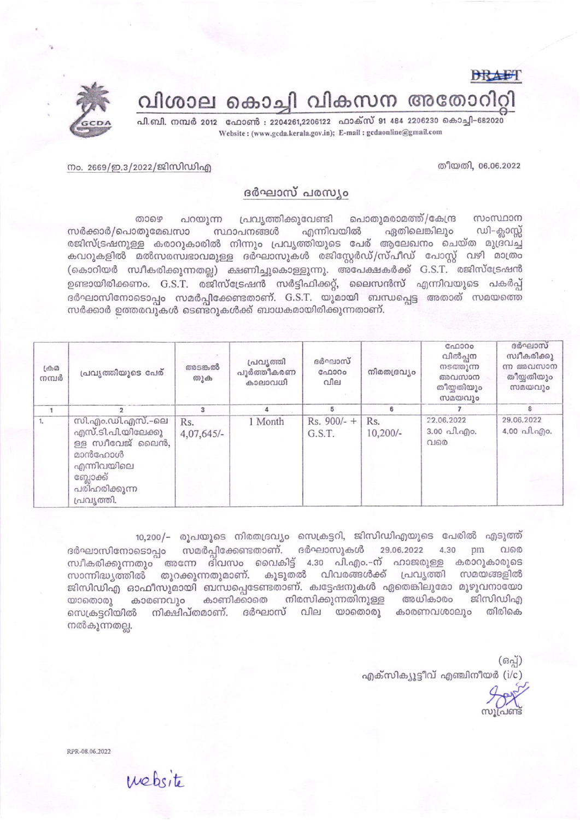**DRAET** വിശാല കൊച്ചി വികസന അതോറിറ്റി



നം. 2669/ഇ.3/2022/ജിസിഡിഎ

തീയതി. 06.06.2022

## ദർഘാസ് പരസ്യം

പ്രവൃത്തിക്കുവേണ്ടി പൊതുമരാമത്ത്/കേന്ദ്ര സംസ്ഥാന ைசை പറയുന്ന ഏതിലെങ്കിലും സർക്കാർ/പൊതുമേഖസാ സ്ഥാപനങ്ങൾ എന്നിവയിൽ ഡി–ക്ലാസ്സ് രജിസ്ട്രഷനുള്ള കരാറുകാരിൽ നിന്നും പ്രവൃത്തിയുടെ പേര് ആലേഖനം ചെയ്ത മുദ്രവച്ച കവറുകളിൽ മൽസരസ്വഭാവമുള്ള ദർഘാസുകൾ രജിസ്റ്റേർഡ്/സ്പീഡ് പോസ്റ്റ് വഴി മാത്രം (കൊറിയർ സ്ഥീകരിക്കുന്നതല്ല) ക്ഷണിച്ചുകൊള്ളുന്നു. അപേക്ഷകർക്ക് G.S.T. രജിസ്ട്രേഷൻ ഉണ്ടായിരിക്കണം. G.S.T. രജിസ്ട്രേഷൻ സർട്ടിഫിക്കറ്റ്, ലൈസൻസ് എന്നിവയുടെ പകർപ്പ് ദർഘാസിനോടൊപ്പം സമർപ്പിക്കേണ്ടതാണ്. G.S.T. യുമായി ബന്ധപ്പെട്ട അതാത് സമയത്തെ സർക്കാർ ഉത്തരവുകൾ ടെണ്ട്റുകൾക്ക് ബാധകമായിരിക്കുന്നതാണ്.

| $L \oplus \mathcal{D}$<br>നമ്പർ | പ്രവൃത്തിയുടെ പേര്                                                                                                             | അടങ്കൽ<br>തുക       | പ്രവൃത്തി<br>പൂർത്തീകരണ<br>കാലാവധി | ദർഘാസ്<br>C <sub>0</sub> 000<br>വില | നിരതദ്രവ്യം       | C <sub>n</sub> 0000<br>വിൽപ്പന<br>നടത്തുന്ന<br>അവസാന<br>തീയതിയും<br>സമയവും | ദർഘാസ്<br>സ്വീകരിക്കു<br>ന്ന അവസാന<br>തീയ്യതിയും<br>സമയവും |
|---------------------------------|--------------------------------------------------------------------------------------------------------------------------------|---------------------|------------------------------------|-------------------------------------|-------------------|----------------------------------------------------------------------------|------------------------------------------------------------|
|                                 |                                                                                                                                | з                   |                                    | 5                                   | 6                 |                                                                            | 8                                                          |
|                                 | സി.എം.ഡി.എസ്.–ലെ<br>എസ്.ടി.പി.യിലേക്കു<br>ള്ള സ്വീവേജ് ലൈൻ,<br>മാൻഫോൾ<br>എന്നിവയിലെ<br>ബ്ലോക്ക്<br>പരിഹരിക്കുന്ന<br>പ്രവൃത്തി. | Rs.<br>$4,07,645/-$ | 1 Month                            | $Rs. 900/- +$<br>G.S.T.             | Rs.<br>$10,200/-$ | 22.06.2022<br>$3.00 \text{ }\Omega$ . $\Omega$ .<br>വരെ                    | 29.06.2022<br>4.00 வி.வு)0.                                |

10,200/– രൂപയുടെ നിരതദ്രവ്യം സെക്രട്ടറി, ജിസിഡിഎയുടെ പേരിൽ എടുത്ത് ദർഘാസിനോടൊപ്പം സമർപ്പിക്കേണ്ടതാണ്. ദർഘാസുകൾ 29.06.2022 4.30 pm വരെ സ്ഥീകരിക്കുന്നതും അന്നേ ദിവസം വൈകിട്ട് 4.30 പി.എം.–ന് ഹാജരുള്ള കരാറുകാരുടെ സാന്നിദ്ധ്യത്തിൽ തുറക്കുന്നതുമാണ്. കൂടുതൽ വിവരങ്ങൾക്ക് പ്രവൃത്തി സമയങ്ങളിൽ ജിസിഡിഎ ഓഫീസുമായി ബന്ധപ്പെടേണ്ടതാണ്. ക്വട്ടേഷനുകൾ ഏതെങ്കിലുമോ മുഴുവനായോ യാതൊരു കാരണവും കാണിക്കാതെ നിരസിക്കുന്നതിനുള്ള അധികാരം ജിസിഡിഎ നിക്ഷിപ്തമാണ്. ദർഘാസ് വില യാതൊരു കാരണവശാലും തിരികെ സെക്രട്ടറിയിൽ നൽകുന്നതല്ല.

> (ഒപ്പ്) എക്സിക്യൂട്ടീവ് എഞ്ചിനീയർ (i/c)

RPR-08.06.2022

website